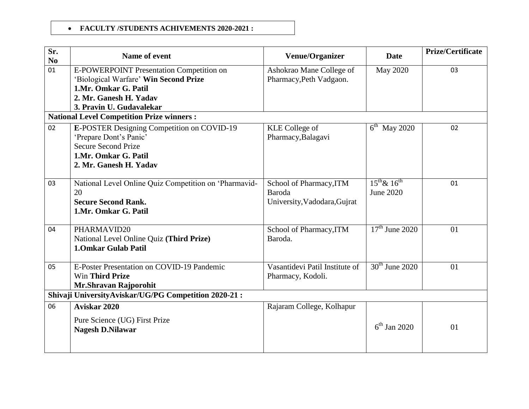## **FACULTY /STUDENTS ACHIVEMENTS 2020-2021 :**

| Sr.                                                  | Name of event                                                 | <b>Venue/Organizer</b>         | <b>Date</b>           | Prize/Certificate |  |
|------------------------------------------------------|---------------------------------------------------------------|--------------------------------|-----------------------|-------------------|--|
| No<br>01                                             |                                                               |                                |                       | 03                |  |
|                                                      | E-POWERPOINT Presentation Competition on                      | Ashokrao Mane College of       | <b>May 2020</b>       |                   |  |
|                                                      | 'Biological Warfare' Win Second Prize<br>1.Mr. Omkar G. Patil | Pharmacy, Peth Vadgaon.        |                       |                   |  |
|                                                      | 2. Mr. Ganesh H. Yadav                                        |                                |                       |                   |  |
|                                                      | 3. Pravin U. Gudavalekar                                      |                                |                       |                   |  |
|                                                      | <b>National Level Competition Prize winners:</b>              |                                |                       |                   |  |
| 02                                                   |                                                               |                                |                       | 02                |  |
|                                                      | E-POSTER Designing Competition on COVID-19                    | <b>KLE</b> College of          | $6^{th}$ May 2020     |                   |  |
|                                                      | 'Prepare Dont's Panic'<br><b>Secure Second Prize</b>          | Pharmacy, Balagavi             |                       |                   |  |
|                                                      | 1.Mr. Omkar G. Patil                                          |                                |                       |                   |  |
|                                                      | 2. Mr. Ganesh H. Yadav                                        |                                |                       |                   |  |
|                                                      |                                                               |                                |                       |                   |  |
| 03                                                   | National Level Online Quiz Competition on 'Pharmavid-         | School of Pharmacy, ITM        | $15^{th}$ & $16^{th}$ | 01                |  |
|                                                      | 20                                                            | Baroda                         | June 2020             |                   |  |
|                                                      | <b>Secure Second Rank.</b>                                    | University, Vadodara, Gujrat   |                       |                   |  |
|                                                      | 1.Mr. Omkar G. Patil                                          |                                |                       |                   |  |
|                                                      |                                                               |                                |                       |                   |  |
| 04                                                   | PHARMAVID20                                                   | School of Pharmacy, ITM        | $17th$ June 2020      | 01                |  |
|                                                      | National Level Online Quiz (Third Prize)                      | Baroda.                        |                       |                   |  |
|                                                      | <b>1.0mkar Gulab Patil</b>                                    |                                |                       |                   |  |
|                                                      |                                                               |                                |                       |                   |  |
| 05                                                   | E-Poster Presentation on COVID-19 Pandemic                    | Vasantidevi Patil Institute of | $30th$ June 2020      | 01                |  |
|                                                      | Win Third Prize                                               | Pharmacy, Kodoli.              |                       |                   |  |
|                                                      | Mr.Shravan Rajporohit                                         |                                |                       |                   |  |
| Shivaji UniversityAviskar/UG/PG Competition 2020-21: |                                                               |                                |                       |                   |  |
| 06                                                   | Aviskar 2020                                                  | Rajaram College, Kolhapur      |                       |                   |  |
|                                                      | Pure Science (UG) First Prize                                 |                                |                       |                   |  |
|                                                      | <b>Nagesh D.Nilawar</b>                                       |                                | $6^{th}$ Jan 2020     | 01                |  |
|                                                      |                                                               |                                |                       |                   |  |
|                                                      |                                                               |                                |                       |                   |  |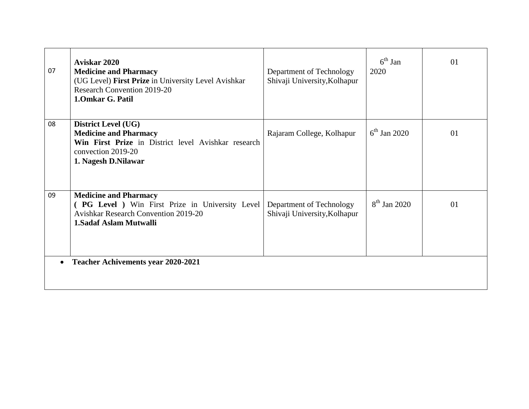| 07 | Aviskar 2020<br><b>Medicine and Pharmacy</b><br>(UG Level) First Prize in University Level Avishkar<br><b>Research Convention 2019-20</b><br>1.0mkar G. Patil  | Department of Technology<br>Shivaji University, Kolhapur | $6^{\text{th}}$ Jan<br>2020 | 01 |
|----|----------------------------------------------------------------------------------------------------------------------------------------------------------------|----------------------------------------------------------|-----------------------------|----|
| 08 | <b>District Level (UG)</b><br><b>Medicine and Pharmacy</b><br>Win First Prize in District level Avishkar research<br>convection 2019-20<br>1. Nagesh D.Nilawar | Rajaram College, Kolhapur                                | $6^{\text{th}}$ Jan 2020    | 01 |
| 09 | <b>Medicine and Pharmacy</b><br>(PG Level ) Win First Prize in University Level<br><b>Avishkar Research Convention 2019-20</b><br>1. Sadaf Aslam Mutwalli      | Department of Technology<br>Shivaji University, Kolhapur | $8^{th}$ Jan 2020           | 01 |
|    | <b>Teacher Achivements year 2020-2021</b>                                                                                                                      |                                                          |                             |    |